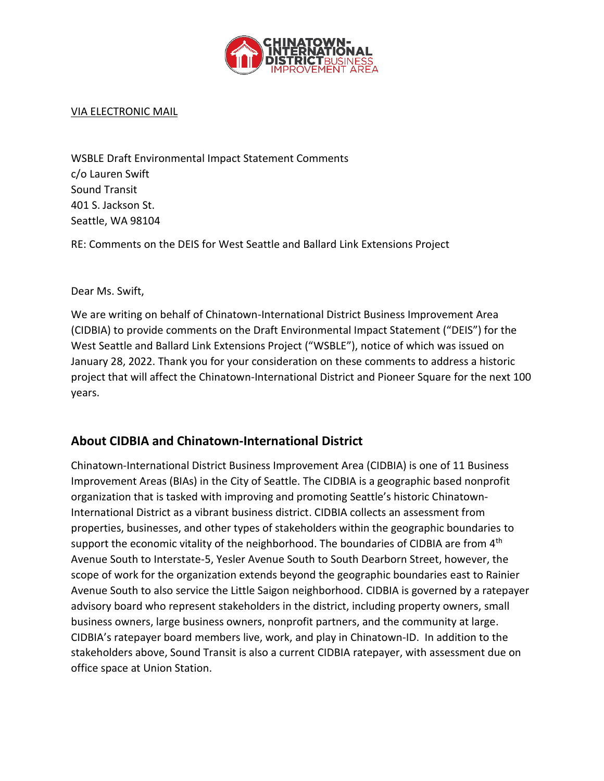

#### VIA ELECTRONIC MAIL

WSBLE Draft Environmental Impact Statement Comments c/o Lauren Swift Sound Transit 401 S. Jackson St. Seattle, WA 98104

RE: Comments on the DEIS for West Seattle and Ballard Link Extensions Project

Dear Ms. Swift,

We are writing on behalf of Chinatown-International District Business Improvement Area (CIDBIA) to provide comments on the Draft Environmental Impact Statement ("DEIS") for the West Seattle and Ballard Link Extensions Project ("WSBLE"), notice of which was issued on January 28, 2022. Thank you for your consideration on these comments to address a historic project that will affect the Chinatown-International District and Pioneer Square for the next 100 years.

#### **About CIDBIA and Chinatown-International District**

Chinatown-International District Business Improvement Area (CIDBIA) is one of 11 Business Improvement Areas (BIAs) in the City of Seattle. The CIDBIA is a geographic based nonprofit organization that is tasked with improving and promoting Seattle's historic Chinatown-International District as a vibrant business district. CIDBIA collects an assessment from properties, businesses, and other types of stakeholders within the geographic boundaries to support the economic vitality of the neighborhood. The boundaries of CIDBIA are from 4<sup>th</sup> Avenue South to Interstate-5, Yesler Avenue South to South Dearborn Street, however, the scope of work for the organization extends beyond the geographic boundaries east to Rainier Avenue South to also service the Little Saigon neighborhood. CIDBIA is governed by a ratepayer advisory board who represent stakeholders in the district, including property owners, small business owners, large business owners, nonprofit partners, and the community at large. CIDBIA's ratepayer board members live, work, and play in Chinatown-ID. In addition to the stakeholders above, Sound Transit is also a current CIDBIA ratepayer, with assessment due on office space at Union Station.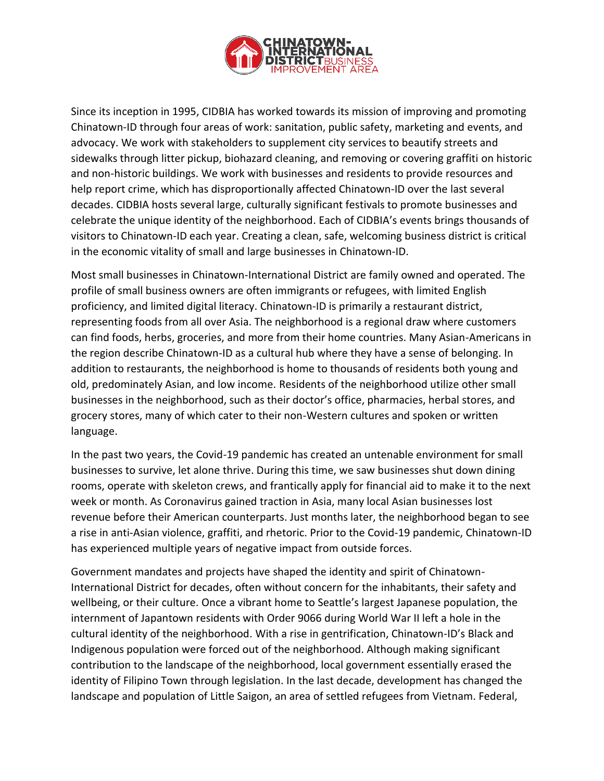

Since its inception in 1995, CIDBIA has worked towards its mission of improving and promoting Chinatown-ID through four areas of work: sanitation, public safety, marketing and events, and advocacy. We work with stakeholders to supplement city services to beautify streets and sidewalks through litter pickup, biohazard cleaning, and removing or covering graffiti on historic and non-historic buildings. We work with businesses and residents to provide resources and help report crime, which has disproportionally affected Chinatown-ID over the last several decades. CIDBIA hosts several large, culturally significant festivals to promote businesses and celebrate the unique identity of the neighborhood. Each of CIDBIA's events brings thousands of visitors to Chinatown-ID each year. Creating a clean, safe, welcoming business district is critical in the economic vitality of small and large businesses in Chinatown-ID.

Most small businesses in Chinatown-International District are family owned and operated. The profile of small business owners are often immigrants or refugees, with limited English proficiency, and limited digital literacy. Chinatown-ID is primarily a restaurant district, representing foods from all over Asia. The neighborhood is a regional draw where customers can find foods, herbs, groceries, and more from their home countries. Many Asian-Americans in the region describe Chinatown-ID as a cultural hub where they have a sense of belonging. In addition to restaurants, the neighborhood is home to thousands of residents both young and old, predominately Asian, and low income. Residents of the neighborhood utilize other small businesses in the neighborhood, such as their doctor's office, pharmacies, herbal stores, and grocery stores, many of which cater to their non-Western cultures and spoken or written language.

In the past two years, the Covid-19 pandemic has created an untenable environment for small businesses to survive, let alone thrive. During this time, we saw businesses shut down dining rooms, operate with skeleton crews, and frantically apply for financial aid to make it to the next week or month. As Coronavirus gained traction in Asia, many local Asian businesses lost revenue before their American counterparts. Just months later, the neighborhood began to see a rise in anti-Asian violence, graffiti, and rhetoric. Prior to the Covid-19 pandemic, Chinatown-ID has experienced multiple years of negative impact from outside forces.

Government mandates and projects have shaped the identity and spirit of Chinatown-International District for decades, often without concern for the inhabitants, their safety and wellbeing, or their culture. Once a vibrant home to Seattle's largest Japanese population, the internment of Japantown residents with Order 9066 during World War II left a hole in the cultural identity of the neighborhood. With a rise in gentrification, Chinatown-ID's Black and Indigenous population were forced out of the neighborhood. Although making significant contribution to the landscape of the neighborhood, local government essentially erased the identity of Filipino Town through legislation. In the last decade, development has changed the landscape and population of Little Saigon, an area of settled refugees from Vietnam. Federal,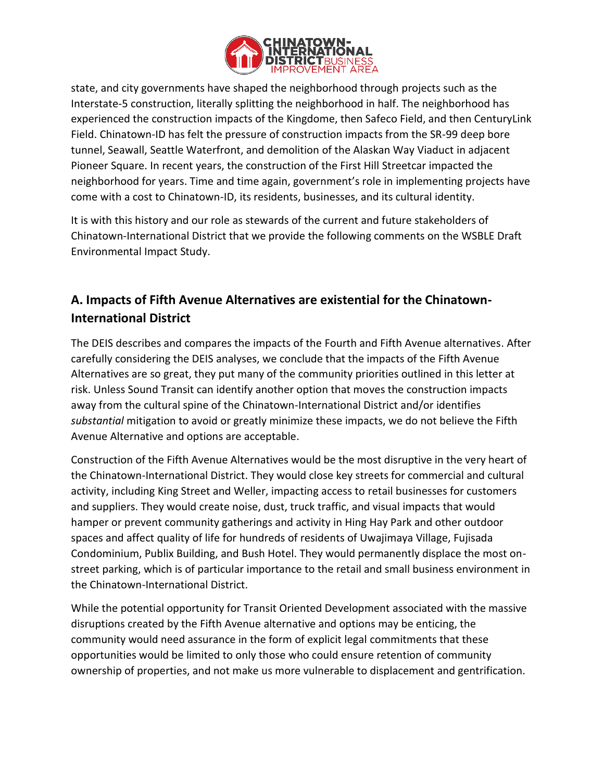

state, and city governments have shaped the neighborhood through projects such as the Interstate-5 construction, literally splitting the neighborhood in half. The neighborhood has experienced the construction impacts of the Kingdome, then Safeco Field, and then CenturyLink Field. Chinatown-ID has felt the pressure of construction impacts from the SR-99 deep bore tunnel, Seawall, Seattle Waterfront, and demolition of the Alaskan Way Viaduct in adjacent Pioneer Square. In recent years, the construction of the First Hill Streetcar impacted the neighborhood for years. Time and time again, government's role in implementing projects have come with a cost to Chinatown-ID, its residents, businesses, and its cultural identity.

It is with this history and our role as stewards of the current and future stakeholders of Chinatown-International District that we provide the following comments on the WSBLE Draft Environmental Impact Study.

# **A. Impacts of Fifth Avenue Alternatives are existential for the Chinatown-International District**

The DEIS describes and compares the impacts of the Fourth and Fifth Avenue alternatives. After carefully considering the DEIS analyses, we conclude that the impacts of the Fifth Avenue Alternatives are so great, they put many of the community priorities outlined in this letter at risk. Unless Sound Transit can identify another option that moves the construction impacts away from the cultural spine of the Chinatown-International District and/or identifies *substantial* mitigation to avoid or greatly minimize these impacts, we do not believe the Fifth Avenue Alternative and options are acceptable.

Construction of the Fifth Avenue Alternatives would be the most disruptive in the very heart of the Chinatown-International District. They would close key streets for commercial and cultural activity, including King Street and Weller, impacting access to retail businesses for customers and suppliers. They would create noise, dust, truck traffic, and visual impacts that would hamper or prevent community gatherings and activity in Hing Hay Park and other outdoor spaces and affect quality of life for hundreds of residents of Uwajimaya Village, Fujisada Condominium, Publix Building, and Bush Hotel. They would permanently displace the most onstreet parking, which is of particular importance to the retail and small business environment in the Chinatown-International District.

While the potential opportunity for Transit Oriented Development associated with the massive disruptions created by the Fifth Avenue alternative and options may be enticing, the community would need assurance in the form of explicit legal commitments that these opportunities would be limited to only those who could ensure retention of community ownership of properties, and not make us more vulnerable to displacement and gentrification.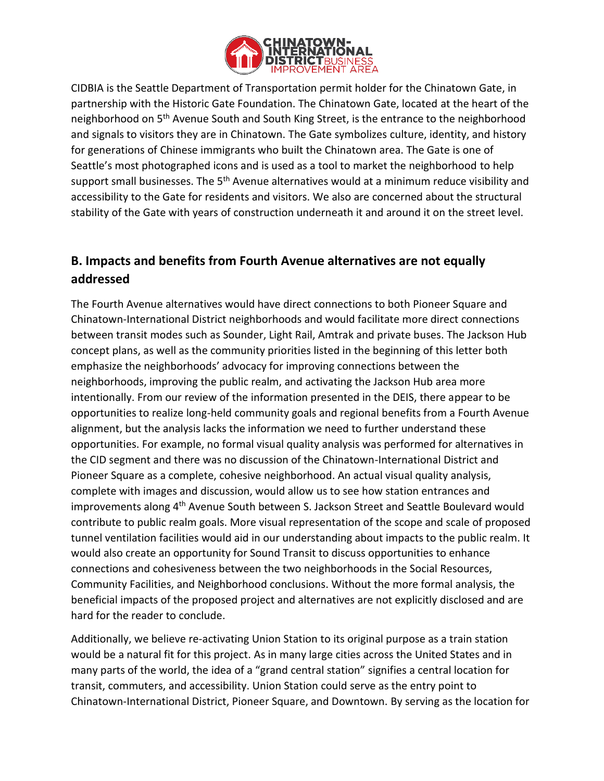

CIDBIA is the Seattle Department of Transportation permit holder for the Chinatown Gate, in partnership with the Historic Gate Foundation. The Chinatown Gate, located at the heart of the neighborhood on 5<sup>th</sup> Avenue South and South King Street, is the entrance to the neighborhood and signals to visitors they are in Chinatown. The Gate symbolizes culture, identity, and history for generations of Chinese immigrants who built the Chinatown area. The Gate is one of Seattle's most photographed icons and is used as a tool to market the neighborhood to help support small businesses. The 5<sup>th</sup> Avenue alternatives would at a minimum reduce visibility and accessibility to the Gate for residents and visitors. We also are concerned about the structural stability of the Gate with years of construction underneath it and around it on the street level.

## **B. Impacts and benefits from Fourth Avenue alternatives are not equally addressed**

The Fourth Avenue alternatives would have direct connections to both Pioneer Square and Chinatown-International District neighborhoods and would facilitate more direct connections between transit modes such as Sounder, Light Rail, Amtrak and private buses. The Jackson Hub concept plans, as well as the community priorities listed in the beginning of this letter both emphasize the neighborhoods' advocacy for improving connections between the neighborhoods, improving the public realm, and activating the Jackson Hub area more intentionally. From our review of the information presented in the DEIS, there appear to be opportunities to realize long-held community goals and regional benefits from a Fourth Avenue alignment, but the analysis lacks the information we need to further understand these opportunities. For example, no formal visual quality analysis was performed for alternatives in the CID segment and there was no discussion of the Chinatown-International District and Pioneer Square as a complete, cohesive neighborhood. An actual visual quality analysis, complete with images and discussion, would allow us to see how station entrances and improvements along 4<sup>th</sup> Avenue South between S. Jackson Street and Seattle Boulevard would contribute to public realm goals. More visual representation of the scope and scale of proposed tunnel ventilation facilities would aid in our understanding about impacts to the public realm. It would also create an opportunity for Sound Transit to discuss opportunities to enhance connections and cohesiveness between the two neighborhoods in the Social Resources, Community Facilities, and Neighborhood conclusions. Without the more formal analysis, the beneficial impacts of the proposed project and alternatives are not explicitly disclosed and are hard for the reader to conclude.

Additionally, we believe re-activating Union Station to its original purpose as a train station would be a natural fit for this project. As in many large cities across the United States and in many parts of the world, the idea of a "grand central station" signifies a central location for transit, commuters, and accessibility. Union Station could serve as the entry point to Chinatown-International District, Pioneer Square, and Downtown. By serving as the location for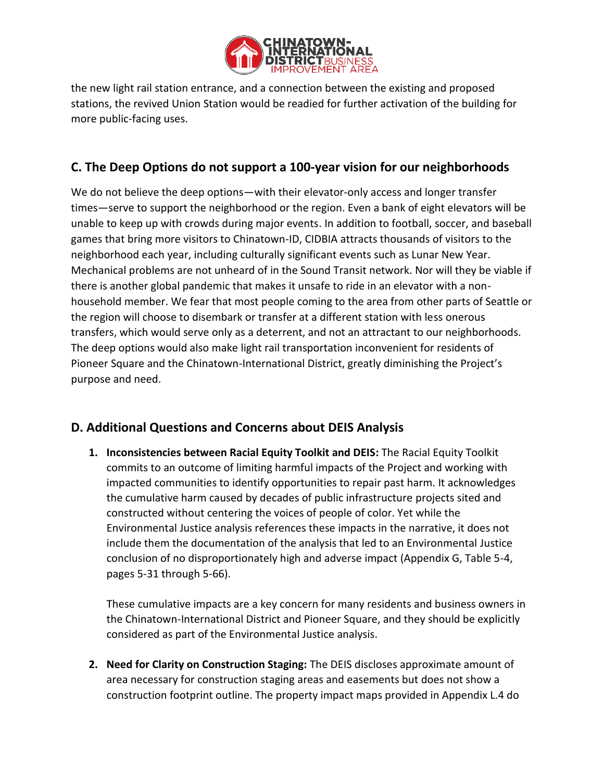

the new light rail station entrance, and a connection between the existing and proposed stations, the revived Union Station would be readied for further activation of the building for more public-facing uses.

## **C. The Deep Options do not support a 100-year vision for our neighborhoods**

We do not believe the deep options—with their elevator-only access and longer transfer times—serve to support the neighborhood or the region. Even a bank of eight elevators will be unable to keep up with crowds during major events. In addition to football, soccer, and baseball games that bring more visitors to Chinatown-ID, CIDBIA attracts thousands of visitors to the neighborhood each year, including culturally significant events such as Lunar New Year. Mechanical problems are not unheard of in the Sound Transit network. Nor will they be viable if there is another global pandemic that makes it unsafe to ride in an elevator with a nonhousehold member. We fear that most people coming to the area from other parts of Seattle or the region will choose to disembark or transfer at a different station with less onerous transfers, which would serve only as a deterrent, and not an attractant to our neighborhoods. The deep options would also make light rail transportation inconvenient for residents of Pioneer Square and the Chinatown-International District, greatly diminishing the Project's purpose and need.

## **D. Additional Questions and Concerns about DEIS Analysis**

**1. Inconsistencies between Racial Equity Toolkit and DEIS:** The Racial Equity Toolkit commits to an outcome of limiting harmful impacts of the Project and working with impacted communities to identify opportunities to repair past harm. It acknowledges the cumulative harm caused by decades of public infrastructure projects sited and constructed without centering the voices of people of color. Yet while the Environmental Justice analysis references these impacts in the narrative, it does not include them the documentation of the analysis that led to an Environmental Justice conclusion of no disproportionately high and adverse impact (Appendix G, Table 5-4, pages 5-31 through 5-66).

These cumulative impacts are a key concern for many residents and business owners in the Chinatown-International District and Pioneer Square, and they should be explicitly considered as part of the Environmental Justice analysis.

**2. Need for Clarity on Construction Staging:** The DEIS discloses approximate amount of area necessary for construction staging areas and easements but does not show a construction footprint outline. The property impact maps provided in Appendix L.4 do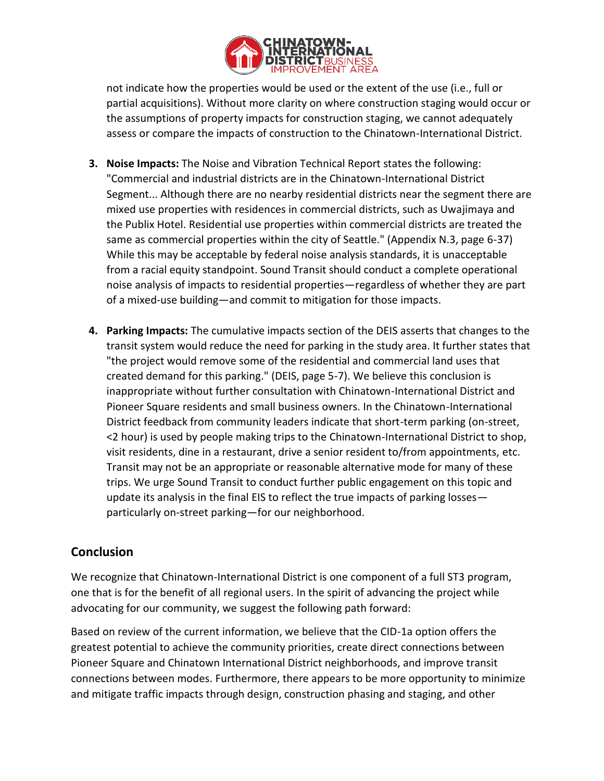

not indicate how the properties would be used or the extent of the use (i.e., full or partial acquisitions). Without more clarity on where construction staging would occur or the assumptions of property impacts for construction staging, we cannot adequately assess or compare the impacts of construction to the Chinatown-International District.

- **3. Noise Impacts:** The Noise and Vibration Technical Report states the following: "Commercial and industrial districts are in the Chinatown-International District Segment... Although there are no nearby residential districts near the segment there are mixed use properties with residences in commercial districts, such as Uwajimaya and the Publix Hotel. Residential use properties within commercial districts are treated the same as commercial properties within the city of Seattle." (Appendix N.3, page 6-37) While this may be acceptable by federal noise analysis standards, it is unacceptable from a racial equity standpoint. Sound Transit should conduct a complete operational noise analysis of impacts to residential properties—regardless of whether they are part of a mixed-use building—and commit to mitigation for those impacts.
- **4. Parking Impacts:** The cumulative impacts section of the DEIS asserts that changes to the transit system would reduce the need for parking in the study area. It further states that "the project would remove some of the residential and commercial land uses that created demand for this parking." (DEIS, page 5-7). We believe this conclusion is inappropriate without further consultation with Chinatown-International District and Pioneer Square residents and small business owners. In the Chinatown-International District feedback from community leaders indicate that short-term parking (on-street, <2 hour) is used by people making trips to the Chinatown-International District to shop, visit residents, dine in a restaurant, drive a senior resident to/from appointments, etc. Transit may not be an appropriate or reasonable alternative mode for many of these trips. We urge Sound Transit to conduct further public engagement on this topic and update its analysis in the final EIS to reflect the true impacts of parking losses particularly on-street parking—for our neighborhood.

## **Conclusion**

We recognize that Chinatown-International District is one component of a full ST3 program, one that is for the benefit of all regional users. In the spirit of advancing the project while advocating for our community, we suggest the following path forward:

Based on review of the current information, we believe that the CID-1a option offers the greatest potential to achieve the community priorities, create direct connections between Pioneer Square and Chinatown International District neighborhoods, and improve transit connections between modes. Furthermore, there appears to be more opportunity to minimize and mitigate traffic impacts through design, construction phasing and staging, and other